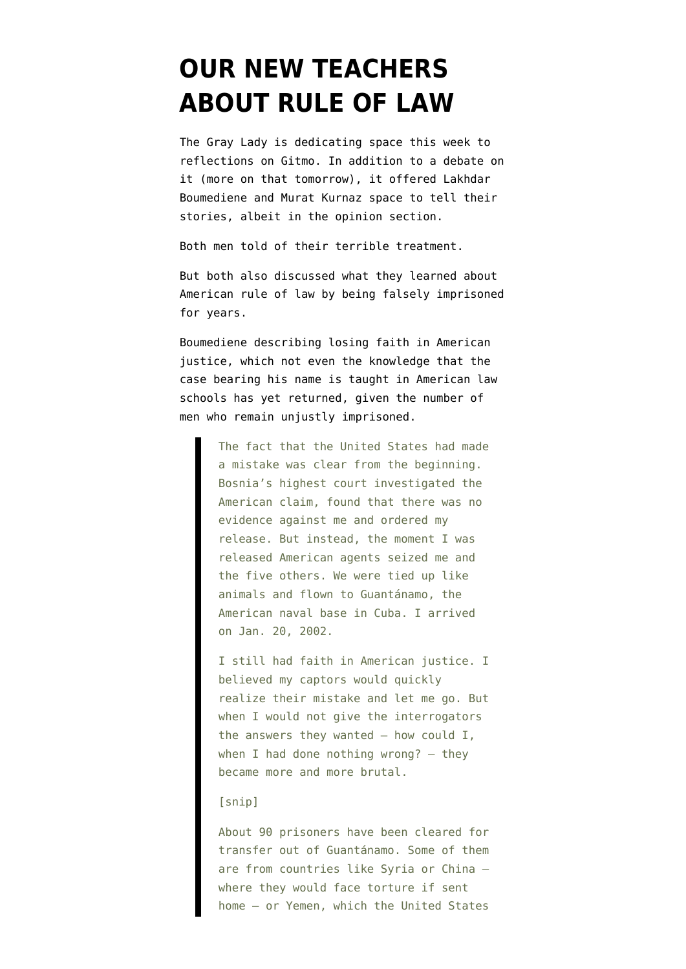## **[OUR NEW TEACHERS](https://www.emptywheel.net/2012/01/10/our-new-teachers-about-rule-of-law/) [ABOUT RULE OF LAW](https://www.emptywheel.net/2012/01/10/our-new-teachers-about-rule-of-law/)**

The Gray Lady is dedicating space this week to reflections on Gitmo. In addition to [a debate on](http://www.nytimes.com/roomfordebate/2012/01/09/guantanamo-10-years-later/) [it](http://www.nytimes.com/roomfordebate/2012/01/09/guantanamo-10-years-later/) (more on that tomorrow), it offered [Lakhdar](https://www.nytimes.com/2012/01/08/opinion/sunday/my-guantanamo-nightmare.html) [Boumediene](https://www.nytimes.com/2012/01/08/opinion/sunday/my-guantanamo-nightmare.html) and [Murat Kurnaz](https://www.nytimes.com/2012/01/08/opinion/sunday/notes-from-a-guantanamo-survivor.html?ref=opinion) space to tell their stories, albeit in the opinion section.

Both men told of their terrible treatment.

But both also discussed what they learned about American rule of law by being falsely imprisoned for years.

Boumediene describing losing faith in American justice, which not even the knowledge that the case bearing his name is taught in American law schools has yet returned, given the number of men who remain unjustly imprisoned.

> The fact that the United States had made a mistake was clear from the beginning. Bosnia's highest court investigated the American claim, found that there was no evidence against me and ordered my release. But instead, the moment I was released American agents seized me and the five others. We were tied up like animals and flown to Guantánamo, the American naval base in Cuba. I arrived on Jan. 20, 2002.

> I still had faith in American justice. I believed my captors would quickly realize their mistake and let me go. But when I would not give the interrogators the answers they wanted  $-$  how could I, when I had done nothing wrong?  $-$  they became more and more brutal.

## [snip]

About 90 prisoners have been cleared for transfer out of Guantánamo. Some of them are from countries like Syria or China where they would face torture if sent home — or Yemen, which the United States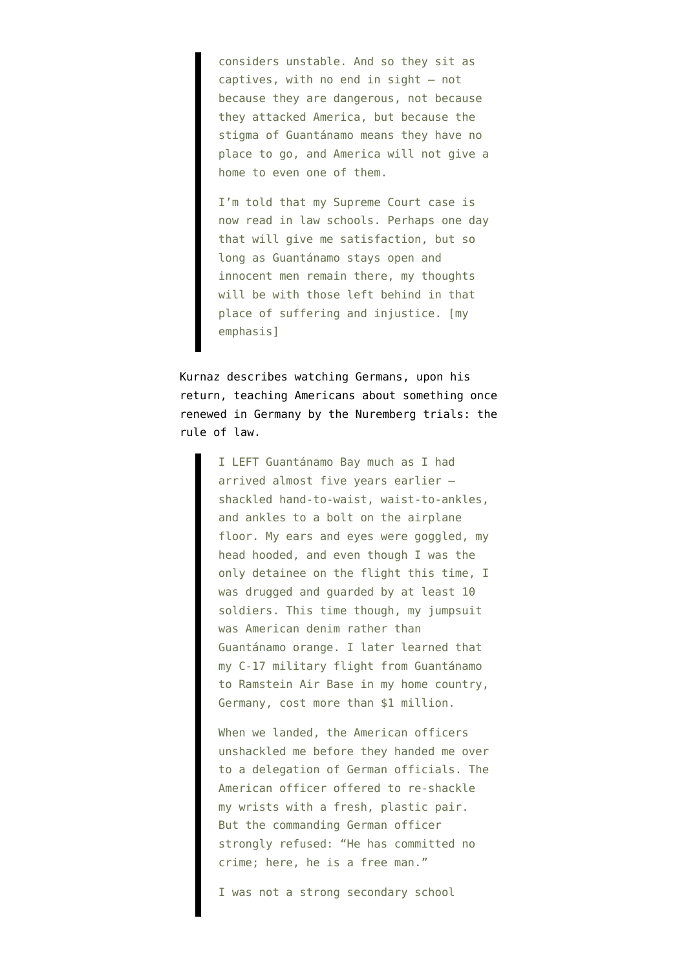considers unstable. And so they sit as captives, with no end in sight — not because they are dangerous, not because they attacked America, but because the stigma of Guantánamo means they have no place to go, and America will not give a home to even one of them.

I'm told that my Supreme Court case is now read in law schools. Perhaps one day that will give me satisfaction, but so long as Guantánamo stays open and innocent men remain there, my thoughts will be with those left behind in that place of suffering and injustice. [my emphasis]

Kurnaz describes watching Germans, upon his return, teaching Americans about something once renewed in Germany by the Nuremberg trials: the rule of law.

> I LEFT Guantánamo Bay much as I had arrived almost five years earlier shackled hand-to-waist, waist-to-ankles, and ankles to a bolt on the airplane floor. My ears and eyes were goggled, my head hooded, and even though I was the only detainee on the flight this time, I was drugged and guarded by at least 10 soldiers. This time though, my jumpsuit was American denim rather than Guantánamo orange. I later learned that my C-17 military flight from Guantánamo to Ramstein Air Base in my home country, Germany, cost more than \$1 million.

> When we landed, the American officers unshackled me before they handed me over to a delegation of German officials. The American officer offered to re-shackle my wrists with a fresh, plastic pair. But the commanding German officer strongly refused: "He has committed no crime; here, he is a free man."

I was not a strong secondary school